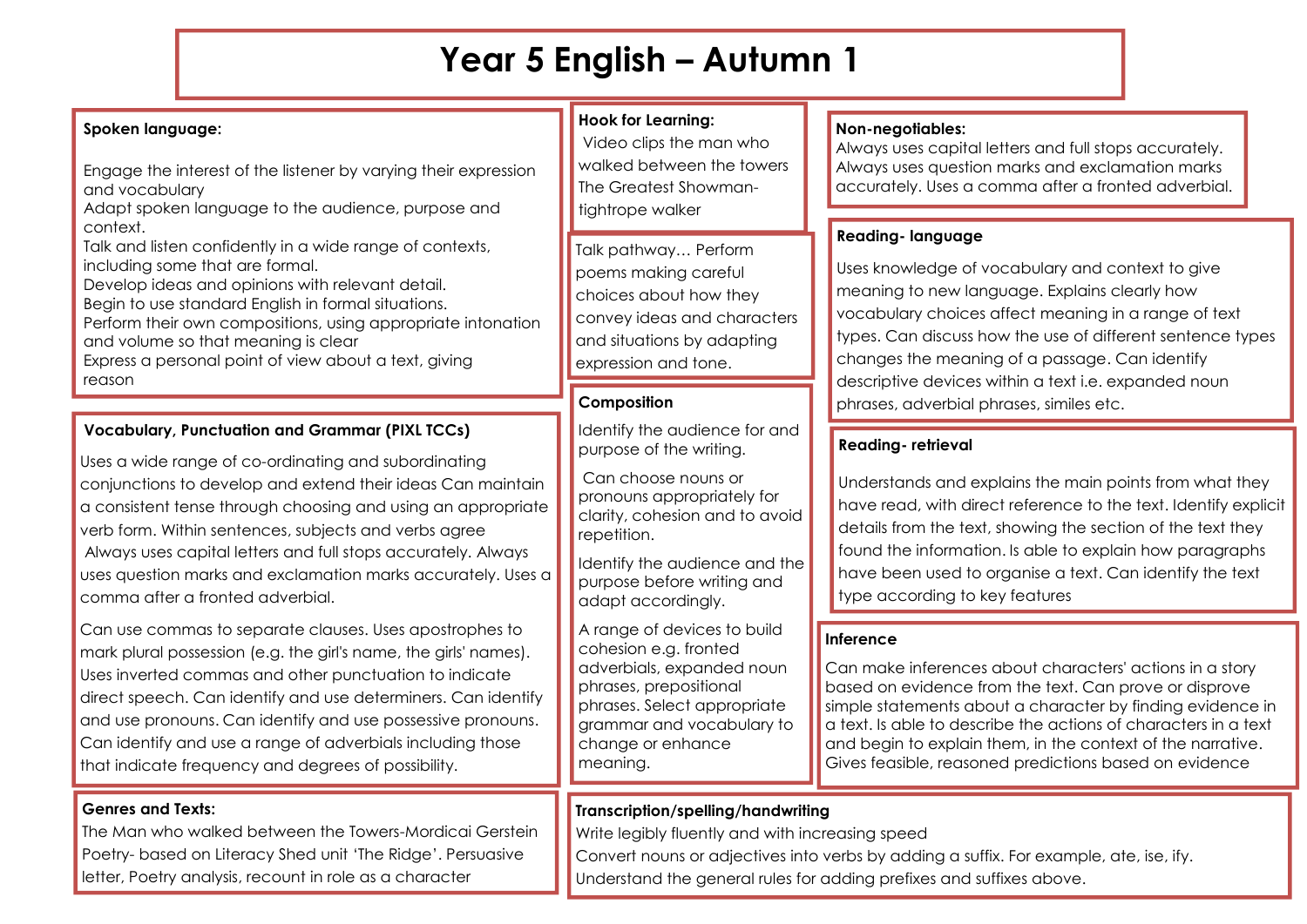## **Year 5 English – Autumn 1**

#### **Spoken language:**

Engage the interest of the listener by varying their expression and vocabulary

Adapt spoken language to the audience, purpose and context.

Talk and listen confidently in a wide range of contexts, including some that are formal.

Develop ideas and opinions with relevant detail.

Begin to use standard English in formal situations.

Perform their own compositions, using appropriate intonation

and volume so that meaning is clear

Express a personal point of view about a text, giving reason

## **Vocabulary, Punctuation and Grammar (PIXL TCCs)**

Uses a wide range of co-ordinating and subordinating conjunctions to develop and extend their ideas Can maintain a consistent tense through choosing and using an appropriate verb form. Within sentences, subjects and verbs agree Always uses capital letters and full stops accurately. Always uses question marks and exclamation marks accurately. Uses a comma after a fronted adverbial.

Can use commas to separate clauses. Uses apostrophes to mark plural possession (e.g. the girl's name, the girls' names). Uses inverted commas and other punctuation to indicate direct speech. Can identify and use determiners. Can identify and use pronouns. Can identify and use possessive pronouns. Can identify and use a range of adverbials including those that indicate frequency and degrees of possibility.

#### **Genres and Texts:**

The Man who walked between the Towers-Mordicai Gerstein Poetry- based on Literacy Shed unit 'The Ridge'. Persuasive letter, Poetry analysis, recount in role as a character

#### **Hook for Learning:**

Video clips the man who walked between the towers The Greatest Showmantightrope walker

Talk pathway… Perform poems making careful choices about how they convey ideas and characters and situations by adapting expression and tone.

#### **Composition**

Identify the audience for and purpose of the writing.

Can choose nouns or pronouns appropriately for clarity, cohesion and to avoid repetition.

Identify the audience and the purpose before writing and adapt accordingly.

A range of devices to build cohesion e.g. fronted adverbials, expanded noun phrases, prepositional phrases. Select appropriate grammar and vocabulary to change or enhance meaning.

## **Non-negotiables:**

Always uses capital letters and full stops accurately. Always uses question marks and exclamation marks accurately. Uses a comma after a fronted adverbial.

## **Reading- language**

Uses knowledge of vocabulary and context to give meaning to new language. Explains clearly how vocabulary choices affect meaning in a range of text types. Can discuss how the use of different sentence types changes the meaning of a passage. Can identify descriptive devices within a text i.e. expanded noun phrases, adverbial phrases, similes etc.

## **Reading- retrieval**

Understands and explains the main points from what they have read, with direct reference to the text. Identify explicit details from the text, showing the section of the text they found the information. Is able to explain how paragraphs have been used to organise a text. Can identify the text type according to key features

## **Inference**

Can make inferences about characters' actions in a story based on evidence from the text. Can prove or disprove simple statements about a character by finding evidence in a text. Is able to describe the actions of characters in a text and begin to explain them, in the context of the narrative. Gives feasible, reasoned predictions based on evidence

#### **Transcription/spelling/handwriting**  $\mathcal{L}_\text{c}$  summarise the main points from a whole text  $\mathcal{L}_\text{c}$

Write legibly fluently and with increasing speed Convert nouns or adjectives into verbs by adding a suffix. For example, ate, ise, ify. Understand the general rules for adding prefixes and suffixes above.